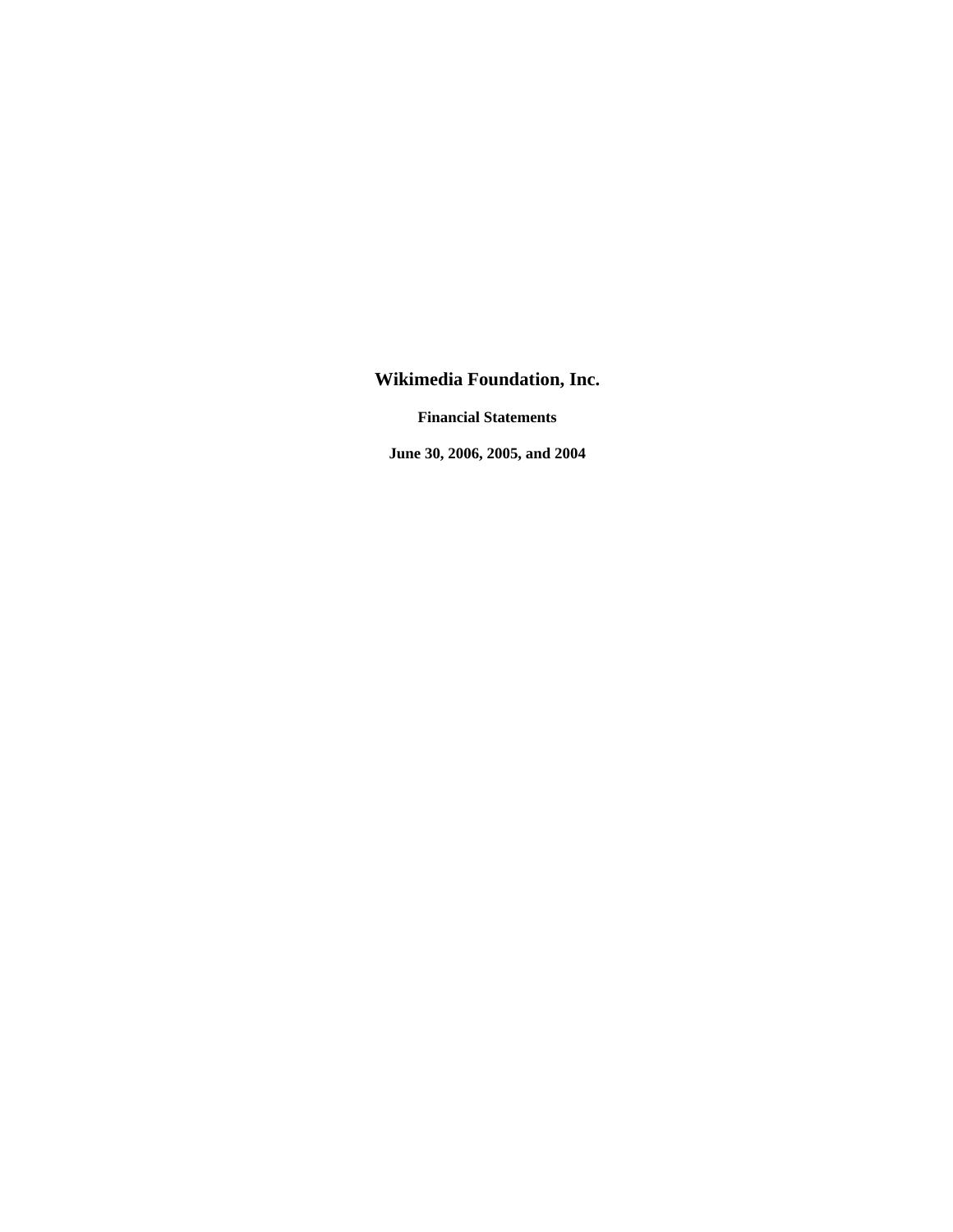# **Wikimedia Foundation, Inc.**

**Financial Statements** 

**June 30, 2006, 2005, and 2004**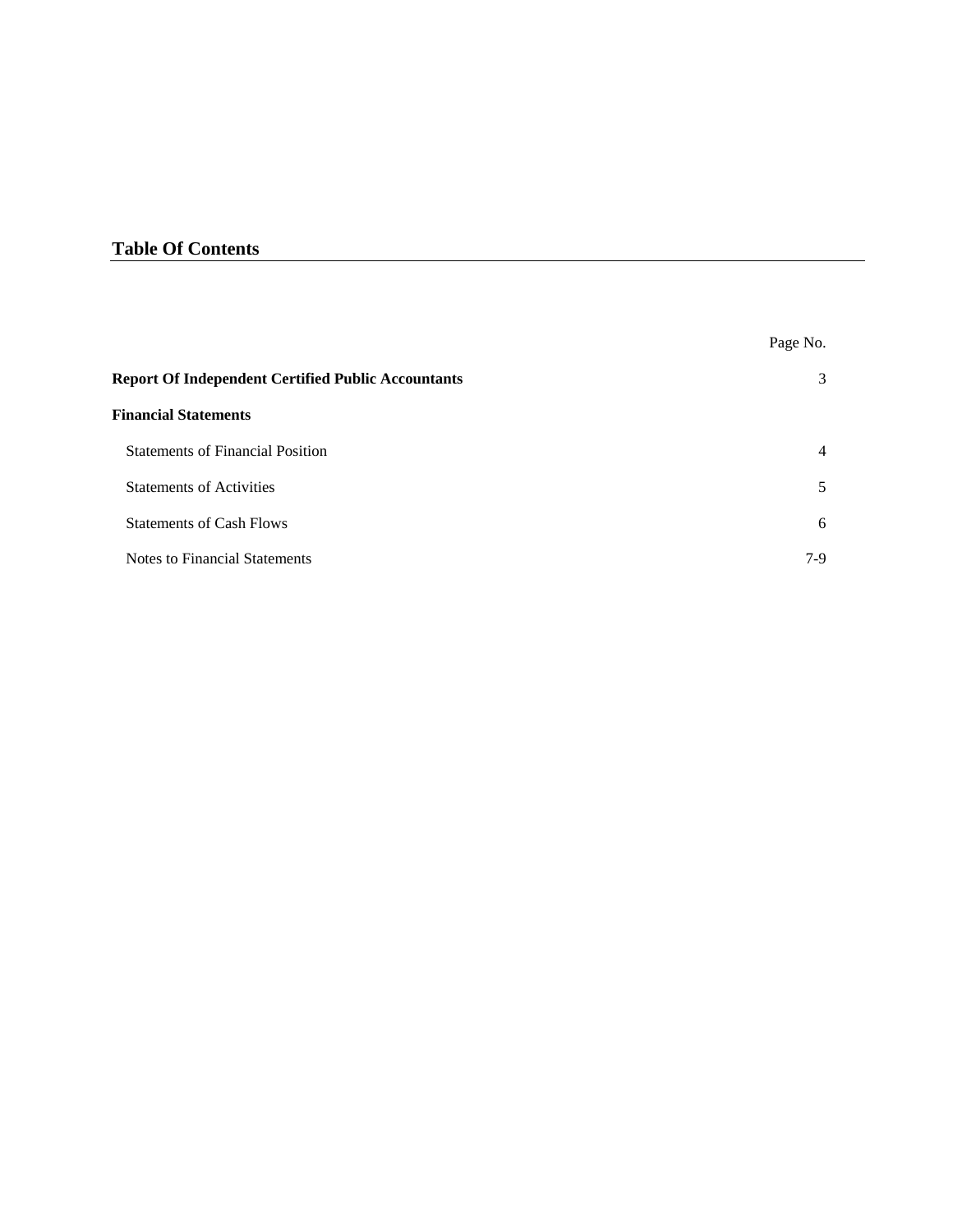# **Table Of Contents**

|                                                           | Page No.       |
|-----------------------------------------------------------|----------------|
| <b>Report Of Independent Certified Public Accountants</b> | 3              |
| <b>Financial Statements</b>                               |                |
| <b>Statements of Financial Position</b>                   | $\overline{4}$ |
| <b>Statements of Activities</b>                           | 5              |
| <b>Statements of Cash Flows</b>                           | 6              |
| Notes to Financial Statements                             | $7-9$          |
|                                                           |                |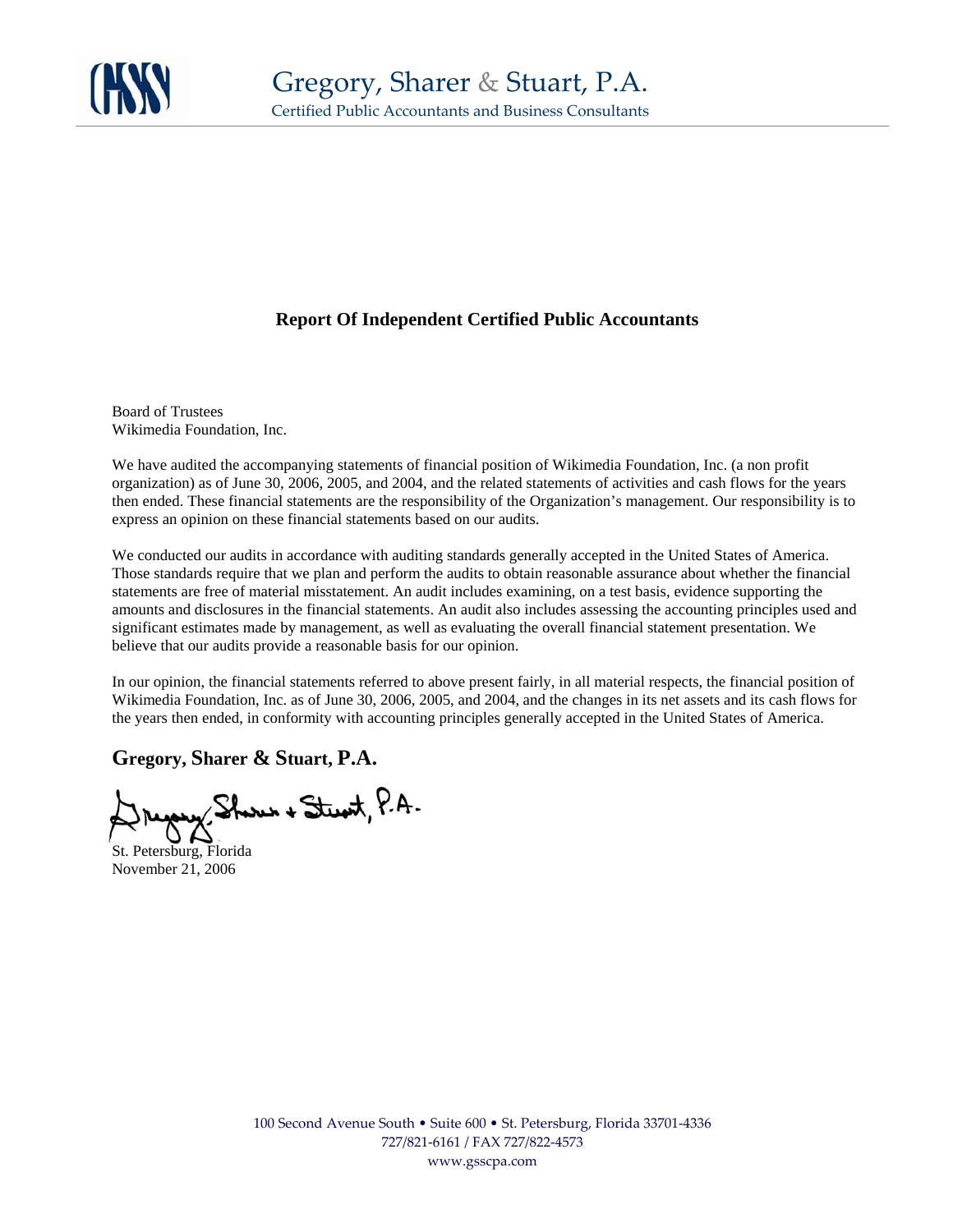

# **Report Of Independent Certified Public Accountants**

Board of Trustees Wikimedia Foundation, Inc.

We have audited the accompanying statements of financial position of Wikimedia Foundation, Inc. (a non profit organization) as of June 30, 2006, 2005, and 2004, and the related statements of activities and cash flows for the years then ended. These financial statements are the responsibility of the Organization's management. Our responsibility is to express an opinion on these financial statements based on our audits.

We conducted our audits in accordance with auditing standards generally accepted in the United States of America. Those standards require that we plan and perform the audits to obtain reasonable assurance about whether the financial statements are free of material misstatement. An audit includes examining, on a test basis, evidence supporting the amounts and disclosures in the financial statements. An audit also includes assessing the accounting principles used and significant estimates made by management, as well as evaluating the overall financial statement presentation. We believe that our audits provide a reasonable basis for our opinion.

In our opinion, the financial statements referred to above present fairly, in all material respects, the financial position of Wikimedia Foundation, Inc. as of June 30, 2006, 2005, and 2004, and the changes in its net assets and its cash flows for the years then ended, in conformity with accounting principles generally accepted in the United States of America.

**Gregory, Sharer & Stuart, P.A.**

yong Shores + Stewit, P.A.

St. Petersburg, Florida November 21, 2006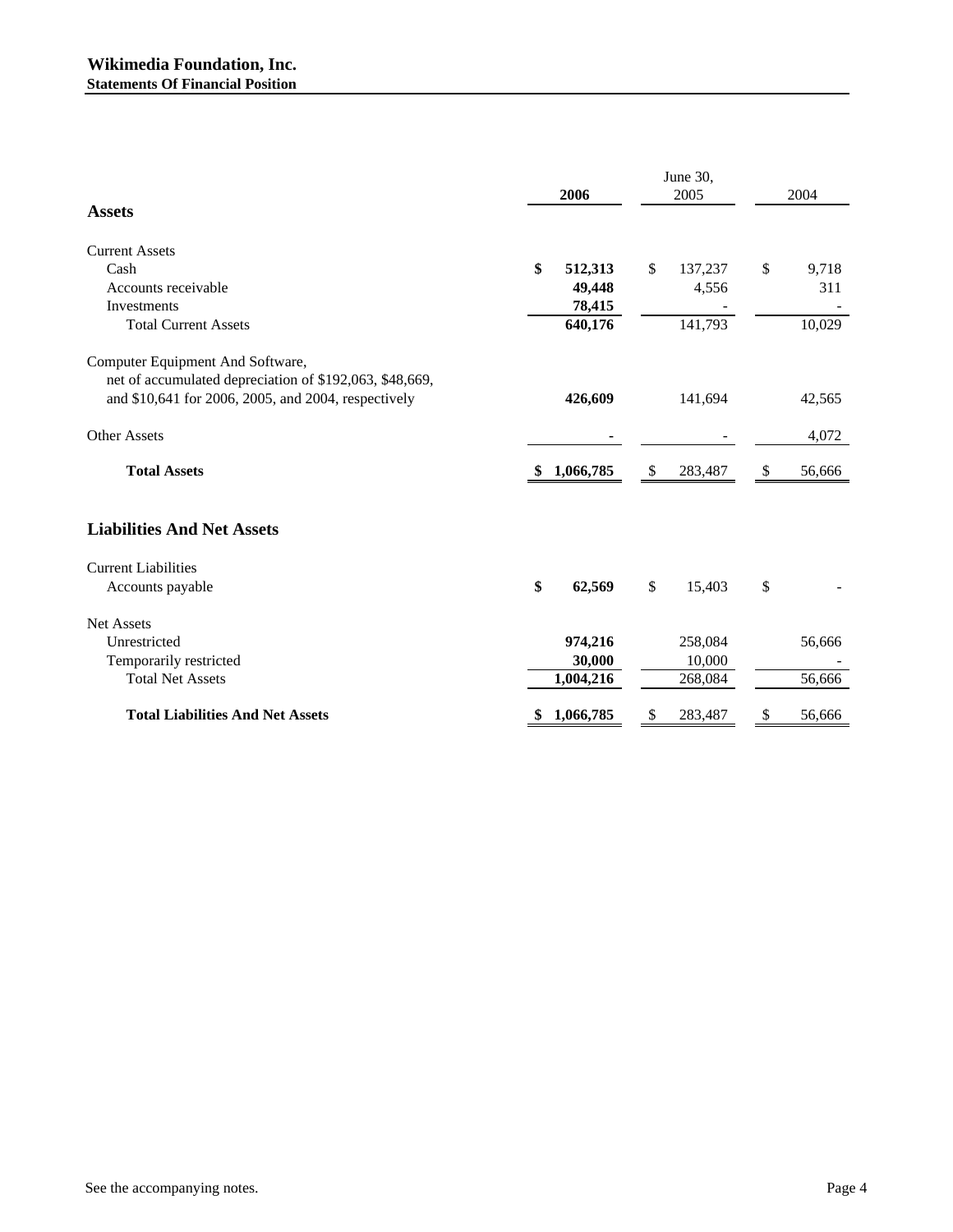|                                                         | 2006            |    | June 30,<br>2005 | 2004         |
|---------------------------------------------------------|-----------------|----|------------------|--------------|
| <b>Assets</b>                                           |                 |    |                  |              |
| <b>Current Assets</b>                                   |                 |    |                  |              |
| Cash                                                    | \$<br>512,313   | \$ | 137,237          | \$<br>9,718  |
| Accounts receivable                                     | 49,448          |    | 4,556            | 311          |
| <b>Investments</b>                                      | 78,415          |    |                  |              |
| <b>Total Current Assets</b>                             | 640,176         |    | 141,793          | 10,029       |
| Computer Equipment And Software,                        |                 |    |                  |              |
| net of accumulated depreciation of \$192,063, \$48,669, |                 |    |                  |              |
| and \$10,641 for 2006, 2005, and 2004, respectively     | 426,609         |    | 141,694          | 42,565       |
| <b>Other Assets</b>                                     |                 |    |                  | 4,072        |
| <b>Total Assets</b>                                     | 1,066,785<br>\$ | \$ | 283,487          | \$<br>56,666 |
| <b>Liabilities And Net Assets</b>                       |                 |    |                  |              |
| <b>Current Liabilities</b>                              |                 |    |                  |              |
| Accounts payable                                        | \$<br>62,569    | \$ | 15,403           | \$           |
| Net Assets                                              |                 |    |                  |              |
| Unrestricted                                            | 974,216         |    | 258,084          | 56,666       |
| Temporarily restricted                                  | 30,000          |    | 10,000           |              |
| <b>Total Net Assets</b>                                 | 1,004,216       |    | 268,084          | 56,666       |
| <b>Total Liabilities And Net Assets</b>                 | 1,066,785       | S  | 283,487          | \$<br>56,666 |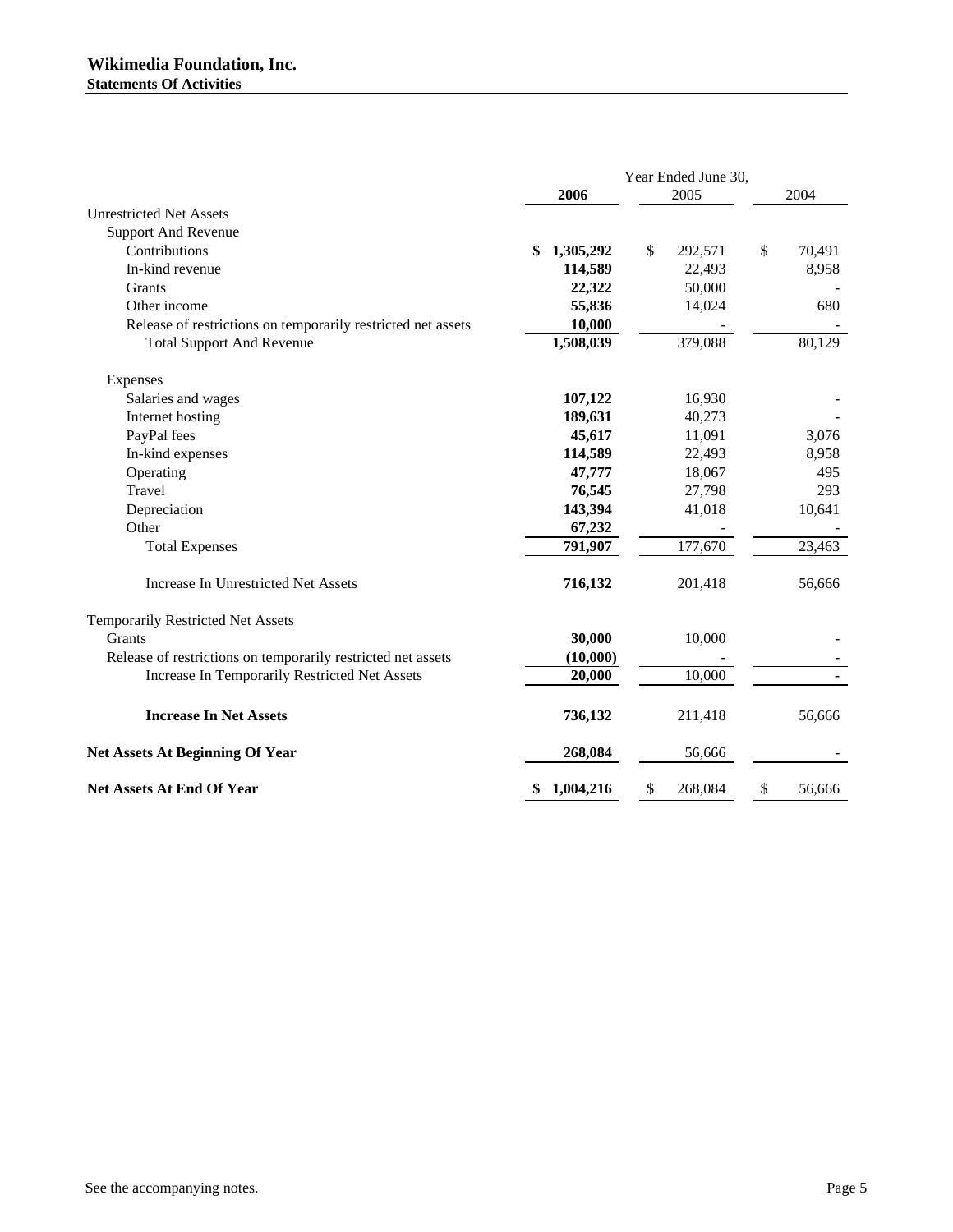|                                                              |                 | Year Ended June 30, |              |
|--------------------------------------------------------------|-----------------|---------------------|--------------|
|                                                              | 2006            | 2005                | 2004         |
| <b>Unrestricted Net Assets</b>                               |                 |                     |              |
| <b>Support And Revenue</b>                                   |                 |                     |              |
| Contributions                                                | 1,305,292<br>\$ | \$<br>292,571       | \$<br>70,491 |
| In-kind revenue                                              | 114,589         | 22,493              | 8,958        |
| Grants                                                       | 22,322          | 50,000              |              |
| Other income                                                 | 55,836          | 14,024              | 680          |
| Release of restrictions on temporarily restricted net assets | 10,000          |                     |              |
| <b>Total Support And Revenue</b>                             | 1,508,039       | 379,088             | 80,129       |
| Expenses                                                     |                 |                     |              |
| Salaries and wages                                           | 107,122         | 16,930              |              |
| Internet hosting                                             | 189,631         | 40,273              |              |
| PayPal fees                                                  | 45,617          | 11,091              | 3,076        |
| In-kind expenses                                             | 114,589         | 22,493              | 8,958        |
| Operating                                                    | 47,777          | 18,067              | 495          |
| Travel                                                       | 76,545          | 27,798              | 293          |
| Depreciation                                                 | 143,394         | 41,018              | 10,641       |
| Other                                                        | 67,232          |                     |              |
| <b>Total Expenses</b>                                        | 791,907         | 177,670             | 23,463       |
| Increase In Unrestricted Net Assets                          | 716,132         | 201,418             | 56,666       |
| Temporarily Restricted Net Assets                            |                 |                     |              |
| Grants                                                       | 30,000          | 10,000              |              |
| Release of restrictions on temporarily restricted net assets | (10,000)        |                     |              |
| Increase In Temporarily Restricted Net Assets                | 20,000          | 10,000              |              |
| <b>Increase In Net Assets</b>                                | 736,132         | 211,418             | 56,666       |
| <b>Net Assets At Beginning Of Year</b>                       | 268,084         | 56,666              |              |
| <b>Net Assets At End Of Year</b>                             | 1,004,216<br>\$ | \$<br>268,084       | \$<br>56,666 |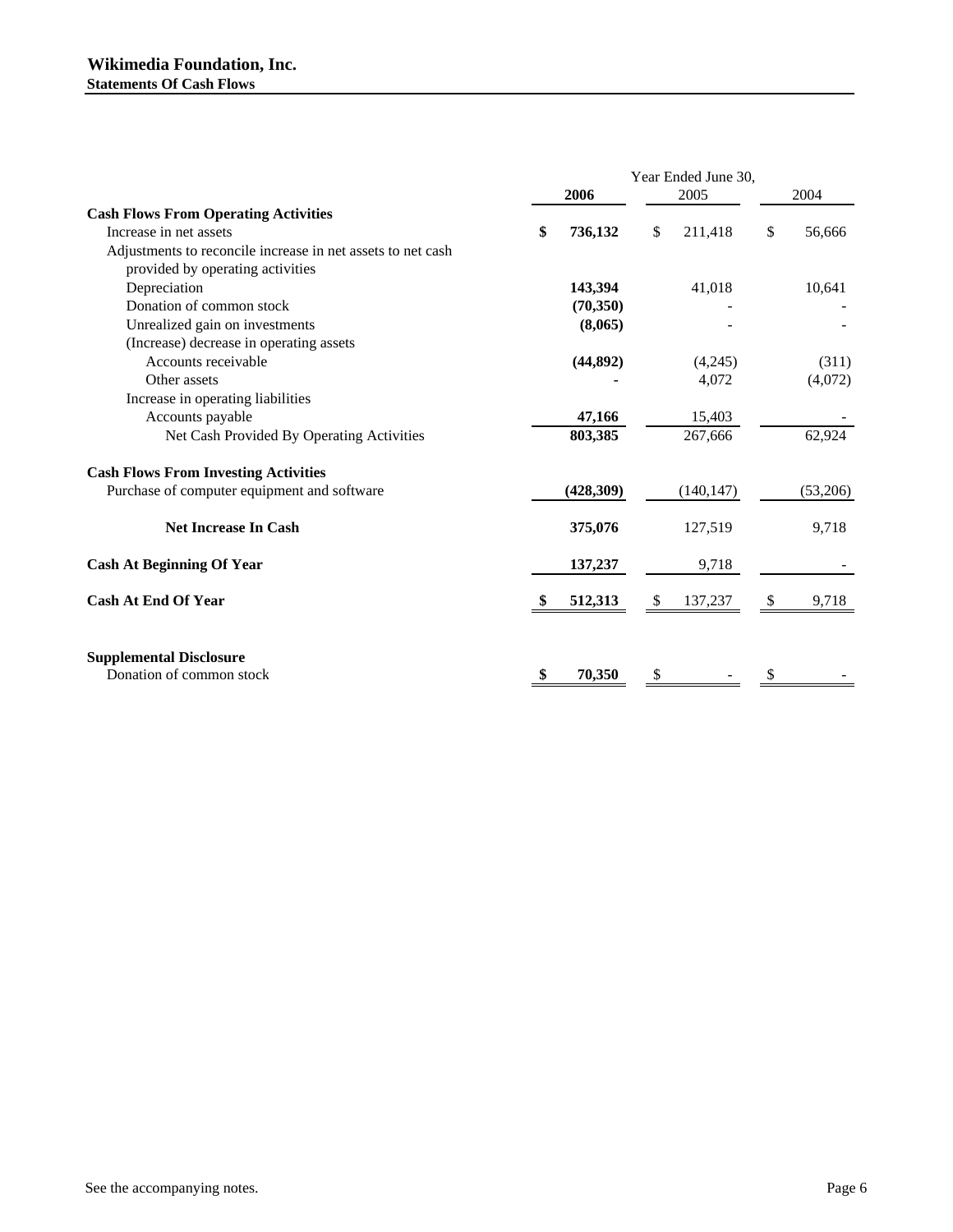|    | 2006       |          | 2005       | 2004                |
|----|------------|----------|------------|---------------------|
|    |            |          |            |                     |
| \$ | 736,132    | \$       | 211,418    | \$<br>56,666        |
|    |            |          |            |                     |
|    |            |          |            |                     |
|    | 143,394    |          | 41,018     | 10,641              |
|    | (70,350)   |          |            |                     |
|    | (8,065)    |          |            |                     |
|    |            |          |            |                     |
|    | (44, 892)  |          | (4,245)    | (311)               |
|    |            |          | 4,072      | (4,072)             |
|    |            |          |            |                     |
|    | 47,166     |          | 15,403     |                     |
|    | 803,385    |          | 267,666    | 62,924              |
|    |            |          |            |                     |
|    | (428, 309) |          | (140, 147) | (53,206)            |
|    | 375,076    |          | 127,519    | 9,718               |
|    | 137,237    |          | 9,718      |                     |
|    | 512,313    | <b>S</b> | 137,237    | \$<br>9,718         |
|    | 70,350     | S        |            |                     |
|    |            |          |            | Year Ended June 30, |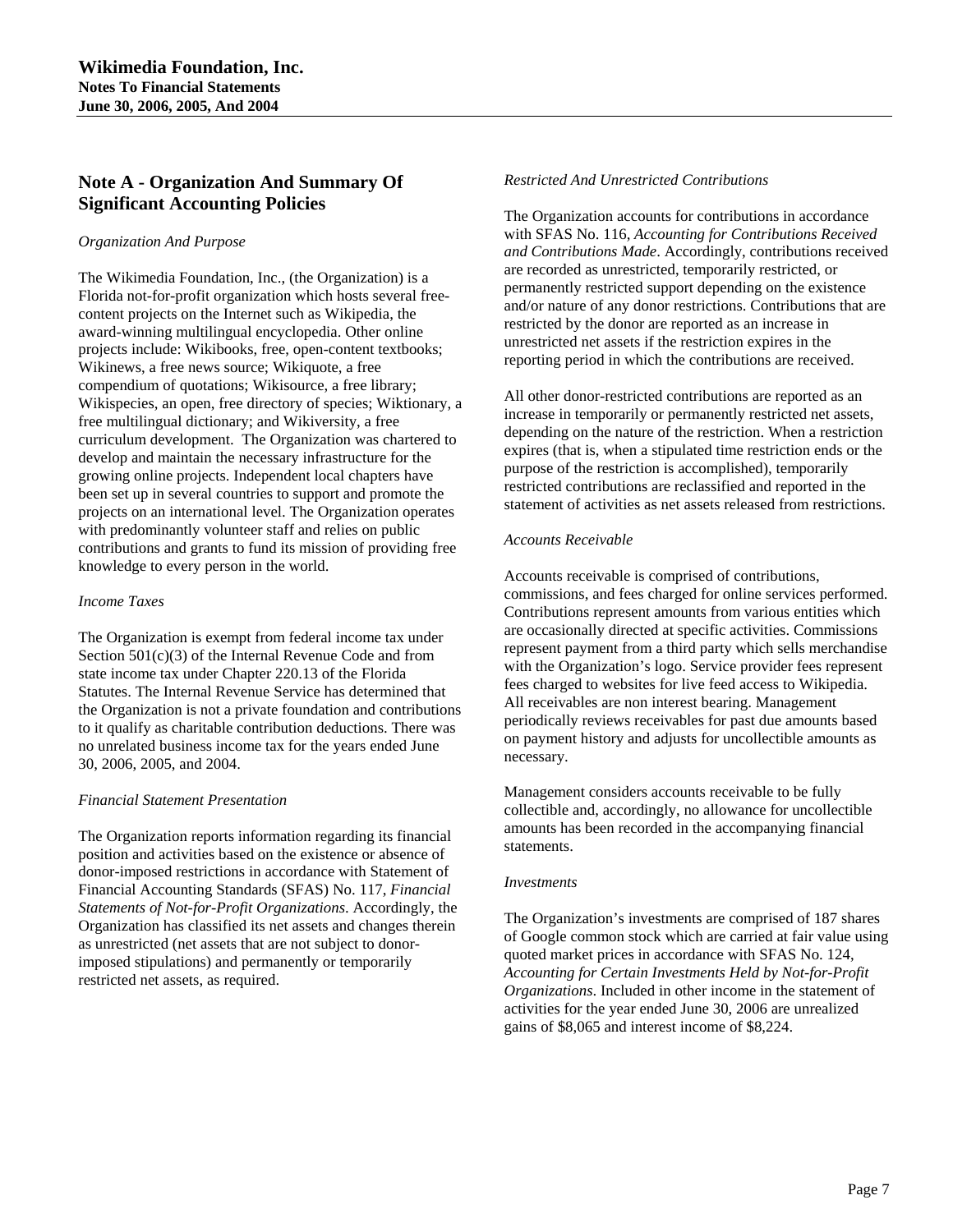# **Note A - Organization And Summary Of Significant Accounting Policies**

#### *Organization And Purpose*

The Wikimedia Foundation, Inc., (the Organization) is a Florida not-for-profit organization which hosts several freecontent projects on the Internet such as Wikipedia, the award-winning multilingual encyclopedia. Other online projects include: Wikibooks, free, open-content textbooks; Wikinews, a free news source; Wikiquote, a free compendium of quotations; Wikisource, a free library; Wikispecies, an open, free directory of species; Wiktionary, a free multilingual dictionary; and Wikiversity, a free curriculum development. The Organization was chartered to develop and maintain the necessary infrastructure for the growing online projects. Independent local chapters have been set up in several countries to support and promote the projects on an international level. The Organization operates with predominantly volunteer staff and relies on public contributions and grants to fund its mission of providing free knowledge to every person in the world.

#### *Income Taxes*

The Organization is exempt from federal income tax under Section  $501(c)(3)$  of the Internal Revenue Code and from state income tax under Chapter 220.13 of the Florida Statutes. The Internal Revenue Service has determined that the Organization is not a private foundation and contributions to it qualify as charitable contribution deductions. There was no unrelated business income tax for the years ended June 30, 2006, 2005, and 2004.

#### *Financial Statement Presentation*

The Organization reports information regarding its financial position and activities based on the existence or absence of donor-imposed restrictions in accordance with Statement of Financial Accounting Standards (SFAS) No. 117, *Financial Statements of Not-for-Profit Organizations*. Accordingly, the Organization has classified its net assets and changes therein as unrestricted (net assets that are not subject to donorimposed stipulations) and permanently or temporarily restricted net assets, as required.

#### *Restricted And Unrestricted Contributions*

The Organization accounts for contributions in accordance with SFAS No. 116, *Accounting for Contributions Received and Contributions Made*. Accordingly, contributions received are recorded as unrestricted, temporarily restricted, or permanently restricted support depending on the existence and/or nature of any donor restrictions. Contributions that are restricted by the donor are reported as an increase in unrestricted net assets if the restriction expires in the reporting period in which the contributions are received.

All other donor-restricted contributions are reported as an increase in temporarily or permanently restricted net assets, depending on the nature of the restriction. When a restriction expires (that is, when a stipulated time restriction ends or the purpose of the restriction is accomplished), temporarily restricted contributions are reclassified and reported in the statement of activities as net assets released from restrictions.

### *Accounts Receivable*

Accounts receivable is comprised of contributions, commissions, and fees charged for online services performed. Contributions represent amounts from various entities which are occasionally directed at specific activities. Commissions represent payment from a third party which sells merchandise with the Organization's logo. Service provider fees represent fees charged to websites for live feed access to Wikipedia. All receivables are non interest bearing. Management periodically reviews receivables for past due amounts based on payment history and adjusts for uncollectible amounts as necessary.

Management considers accounts receivable to be fully collectible and, accordingly, no allowance for uncollectible amounts has been recorded in the accompanying financial statements.

#### *Investments*

The Organization's investments are comprised of 187 shares of Google common stock which are carried at fair value using quoted market prices in accordance with SFAS No. 124, *Accounting for Certain Investments Held by Not-for-Profit Organizations*. Included in other income in the statement of activities for the year ended June 30, 2006 are unrealized gains of \$8,065 and interest income of \$8,224.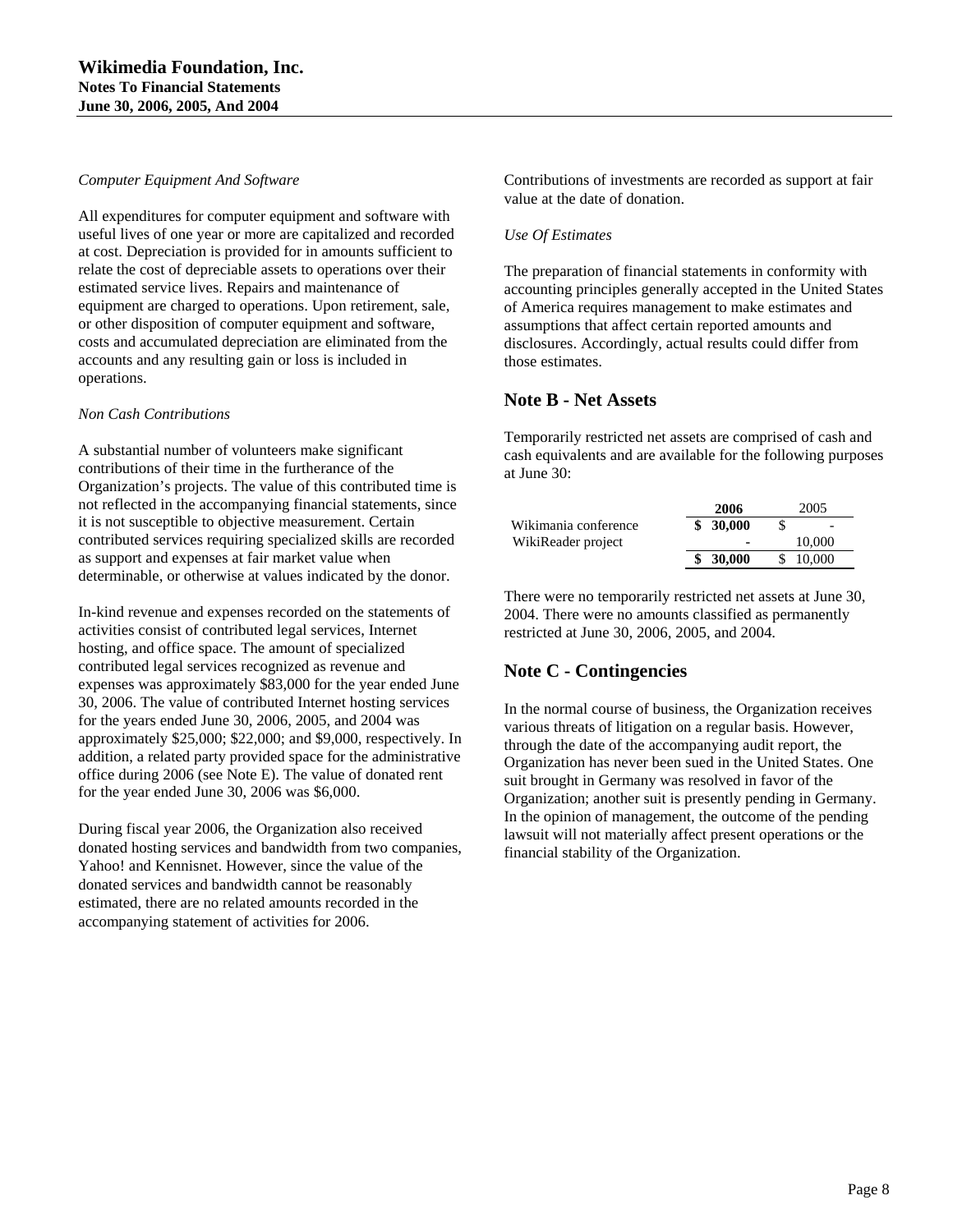#### *Computer Equipment And Software*

All expenditures for computer equipment and software with useful lives of one year or more are capitalized and recorded at cost. Depreciation is provided for in amounts sufficient to relate the cost of depreciable assets to operations over their estimated service lives. Repairs and maintenance of equipment are charged to operations. Upon retirement, sale, or other disposition of computer equipment and software, costs and accumulated depreciation are eliminated from the accounts and any resulting gain or loss is included in operations.

#### *Non Cash Contributions*

A substantial number of volunteers make significant contributions of their time in the furtherance of the Organization's projects. The value of this contributed time is not reflected in the accompanying financial statements, since it is not susceptible to objective measurement. Certain contributed services requiring specialized skills are recorded as support and expenses at fair market value when determinable, or otherwise at values indicated by the donor.

In-kind revenue and expenses recorded on the statements of activities consist of contributed legal services, Internet hosting, and office space. The amount of specialized contributed legal services recognized as revenue and expenses was approximately \$83,000 for the year ended June 30, 2006. The value of contributed Internet hosting services for the years ended June 30, 2006, 2005, and 2004 was approximately \$25,000; \$22,000; and \$9,000, respectively. In addition, a related party provided space for the administrative office during 2006 (see Note E). The value of donated rent for the year ended June 30, 2006 was \$6,000.

During fiscal year 2006, the Organization also received donated hosting services and bandwidth from two companies, Yahoo! and Kennisnet. However, since the value of the donated services and bandwidth cannot be reasonably estimated, there are no related amounts recorded in the accompanying statement of activities for 2006.

Contributions of investments are recorded as support at fair value at the date of donation.

### *Use Of Estimates*

The preparation of financial statements in conformity with accounting principles generally accepted in the United States of America requires management to make estimates and assumptions that affect certain reported amounts and disclosures. Accordingly, actual results could differ from those estimates.

# **Note B - Net Assets**

Temporarily restricted net assets are comprised of cash and cash equivalents and are available for the following purposes at June 30:

|                      | 2006                     |    | 2005   |
|----------------------|--------------------------|----|--------|
| Wikimania conference | \$30,000                 |    |        |
| WikiReader project   | $\overline{\phantom{0}}$ |    | 10,000 |
|                      | \$30,000                 | S. | 10,000 |

There were no temporarily restricted net assets at June 30, 2004. There were no amounts classified as permanently restricted at June 30, 2006, 2005, and 2004.

# **Note C - Contingencies**

In the normal course of business, the Organization receives various threats of litigation on a regular basis. However, through the date of the accompanying audit report, the Organization has never been sued in the United States. One suit brought in Germany was resolved in favor of the Organization; another suit is presently pending in Germany. In the opinion of management, the outcome of the pending lawsuit will not materially affect present operations or the financial stability of the Organization.